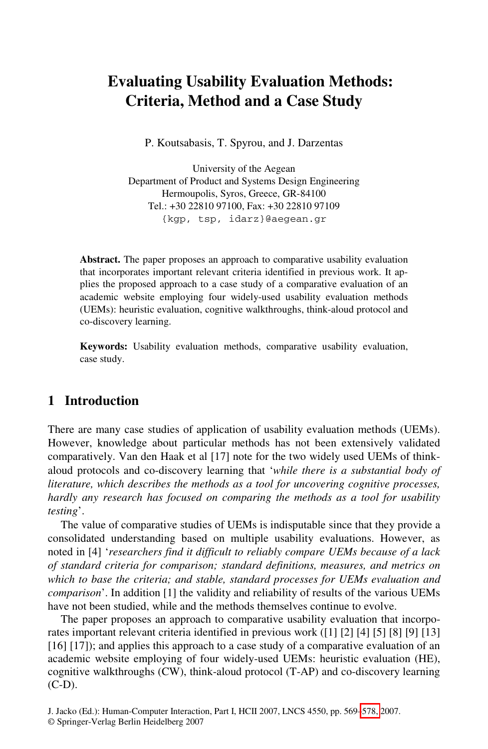# **Evaluating Usability Evaluation Methods: Criteria, Method and a Case Study**

P. Koutsabasis, T. Spyrou, and J. Darzentas

University of the Aegean Department of Product and Systems Design Engineering Hermoupolis, Syros, Greece, GR-84100 Tel.: +30 22810 97100, Fax: +30 22810 97109 {kgp, tsp, idarz}@aegean.gr

**Abstract.** The paper proposes an approach to comparative usability evaluation that incorporates important relevant criteria identified in previous work. It applies the proposed approach to a case study of a comparative evaluation of an academic website employing four widely-used usability evaluation methods (UEMs): heuristic evaluation, cognitive walkthroughs, think-aloud protocol and co-discovery learning.

**Keywords:** Usability evaluation methods, comparative usability evaluation, case study.

### **1 Introduction**

There are many case studies of application of usability evaluation methods (UEMs). However, knowledge about particular methods has not been extensively validated comparatively. Van den Haak et al [17] note for the two widely used UEMs of thinkaloud protocols and co-discovery learning that '*while there is a substantial body of literature, which describes the methods as a tool for uncovering cognitive processes, hardly any research has focused on comparing the methods as a tool for usability testing*'.

The value of comparative studies of UEMs is indisputable since that they provide a consolidated understanding based on multiple usability evaluations. However, as noted in [4] '*researchers find it difficult to reliably compare UEMs because of a lack of standard criteria for comparison; standard definitions, measures, and metrics on which to base the criteria; and stable, standard processes for UEMs evaluation and comparison*'. In addition [1] the validity and reliability of results of the various UEMs have not been studied, while and the methods themselves continue to evolve.

The paper proposes an approach to compara[tive](#page-9-0) usability evaluation that incorporates important relevant criteria identified in previous work ([1] [2] [4] [5] [8] [9] [13] [16] [17]); and applies this approach to a case study of a comparative evaluation of an academic website employing of four widely-used UEMs: heuristic evaluation (HE), cognitive walkthroughs (CW), think-aloud protocol (T-AP) and co-discovery learning (C-D).

J. Jacko (Ed.): Human-Computer Interaction, Part I, HCII 2007, LNCS 4550, pp. 569–578, 2007. © Springer-Verlag Berlin Heidelberg 2007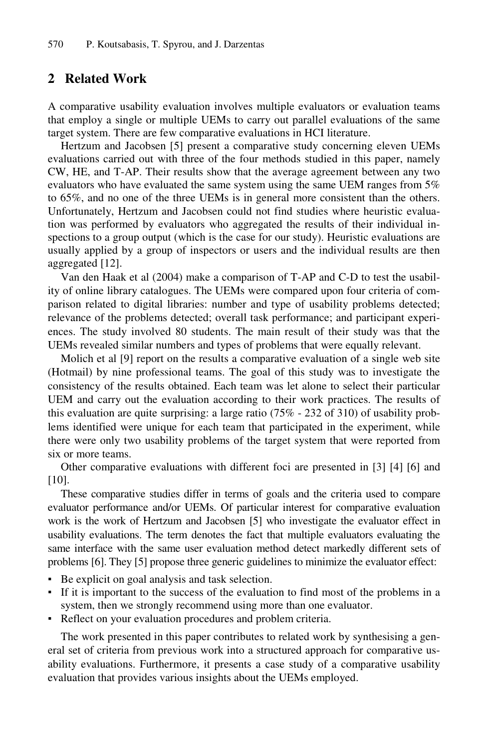#### **2 Related Work**

A comparative usability evaluation involves multiple evaluators or evaluation teams that employ a single or multiple UEMs to carry out parallel evaluations of the same target system. There are few comparative evaluations in HCI literature.

Hertzum and Jacobsen [5] present a comparative study concerning eleven UEMs evaluations carried out with three of the four methods studied in this paper, namely CW, HE, and T-AP. Their results show that the average agreement between any two evaluators who have evaluated the same system using the same UEM ranges from 5% to 65%, and no one of the three UEMs is in general more consistent than the others. Unfortunately, Hertzum and Jacobsen could not find studies where heuristic evaluation was performed by evaluators who aggregated the results of their individual inspections to a group output (which is the case for our study). Heuristic evaluations are usually applied by a group of inspectors or users and the individual results are then aggregated [12].

Van den Haak et al (2004) make a comparison of T-AP and C-D to test the usability of online library catalogues. The UEMs were compared upon four criteria of comparison related to digital libraries: number and type of usability problems detected; relevance of the problems detected; overall task performance; and participant experiences. The study involved 80 students. The main result of their study was that the UEMs revealed similar numbers and types of problems that were equally relevant.

Molich et al [9] report on the results a comparative evaluation of a single web site (Hotmail) by nine professional teams. The goal of this study was to investigate the consistency of the results obtained. Each team was let alone to select their particular UEM and carry out the evaluation according to their work practices. The results of this evaluation are quite surprising: a large ratio (75% - 232 of 310) of usability problems identified were unique for each team that participated in the experiment, while there were only two usability problems of the target system that were reported from six or more teams.

Other comparative evaluations with different foci are presented in [3] [4] [6] and [10].

These comparative studies differ in terms of goals and the criteria used to compare evaluator performance and/or UEMs. Of particular interest for comparative evaluation work is the work of Hertzum and Jacobsen [5] who investigate the evaluator effect in usability evaluations. The term denotes the fact that multiple evaluators evaluating the same interface with the same user evaluation method detect markedly different sets of problems [6]. They [5] propose three generic guidelines to minimize the evaluator effect:

- Be explicit on goal analysis and task selection.
- If it is important to the success of the evaluation to find most of the problems in a system, then we strongly recommend using more than one evaluator.
- Reflect on your evaluation procedures and problem criteria.

The work presented in this paper contributes to related work by synthesising a general set of criteria from previous work into a structured approach for comparative usability evaluations. Furthermore, it presents a case study of a comparative usability evaluation that provides various insights about the UEMs employed.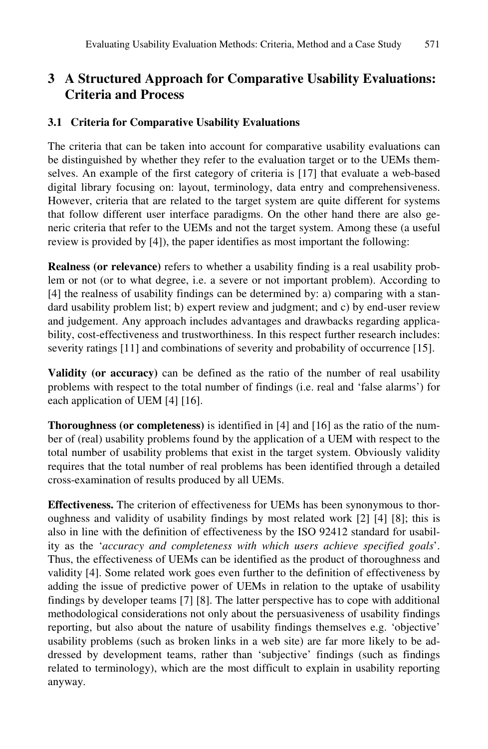## **3 A Structured Approach for Comparative Usability Evaluations: Criteria and Process**

#### **3.1 Criteria for Comparative Usability Evaluations**

The criteria that can be taken into account for comparative usability evaluations can be distinguished by whether they refer to the evaluation target or to the UEMs themselves. An example of the first category of criteria is [17] that evaluate a web-based digital library focusing on: layout, terminology, data entry and comprehensiveness. However, criteria that are related to the target system are quite different for systems that follow different user interface paradigms. On the other hand there are also generic criteria that refer to the UEMs and not the target system. Among these (a useful review is provided by [4]), the paper identifies as most important the following:

**Realness (or relevance)** refers to whether a usability finding is a real usability problem or not (or to what degree, i.e. a severe or not important problem). According to [4] the realness of usability findings can be determined by: a) comparing with a standard usability problem list; b) expert review and judgment; and c) by end-user review and judgement. Any approach includes advantages and drawbacks regarding applicability, cost-effectiveness and trustworthiness. In this respect further research includes: severity ratings [11] and combinations of severity and probability of occurrence [15].

**Validity (or accuracy)** can be defined as the ratio of the number of real usability problems with respect to the total number of findings (i.e. real and 'false alarms') for each application of UEM [4] [16].

**Thoroughness (or completeness)** is identified in [4] and [16] as the ratio of the number of (real) usability problems found by the application of a UEM with respect to the total number of usability problems that exist in the target system. Obviously validity requires that the total number of real problems has been identified through a detailed cross-examination of results produced by all UEMs.

**Effectiveness.** The criterion of effectiveness for UEMs has been synonymous to thoroughness and validity of usability findings by most related work [2] [4] [8]; this is also in line with the definition of effectiveness by the ISO 92412 standard for usability as the '*accuracy and completeness with which users achieve specified goals*'. Thus, the effectiveness of UEMs can be identified as the product of thoroughness and validity [4]. Some related work goes even further to the definition of effectiveness by adding the issue of predictive power of UEMs in relation to the uptake of usability findings by developer teams [7] [8]. The latter perspective has to cope with additional methodological considerations not only about the persuasiveness of usability findings reporting, but also about the nature of usability findings themselves e.g. 'objective' usability problems (such as broken links in a web site) are far more likely to be addressed by development teams, rather than 'subjective' findings (such as findings related to terminology), which are the most difficult to explain in usability reporting anyway.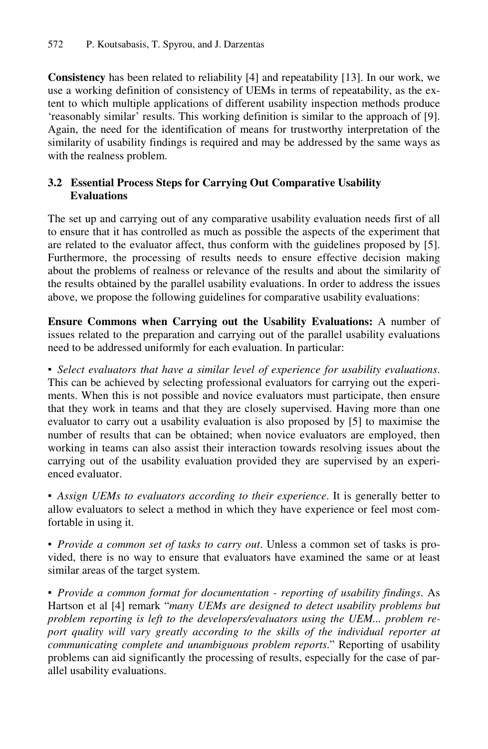**Consistency** has been related to reliability [4] and repeatability [13]. In our work, we use a working definition of consistency of UEMs in terms of repeatability, as the extent to which multiple applications of different usability inspection methods produce 'reasonably similar' results. This working definition is similar to the approach of [9]. Again, the need for the identification of means for trustworthy interpretation of the similarity of usability findings is required and may be addressed by the same ways as with the realness problem.

#### **3.2 Essential Process Steps for Carrying Out Comparative Usability Evaluations**

The set up and carrying out of any comparative usability evaluation needs first of all to ensure that it has controlled as much as possible the aspects of the experiment that are related to the evaluator affect, thus conform with the guidelines proposed by [5]. Furthermore, the processing of results needs to ensure effective decision making about the problems of realness or relevance of the results and about the similarity of the results obtained by the parallel usability evaluations. In order to address the issues above, we propose the following guidelines for comparative usability evaluations:

**Ensure Commons when Carrying out the Usability Evaluations:** A number of issues related to the preparation and carrying out of the parallel usability evaluations need to be addressed uniformly for each evaluation. In particular:

▪ *Select evaluators that have a similar level of experience for usability evaluations*. This can be achieved by selecting professional evaluators for carrying out the experiments. When this is not possible and novice evaluators must participate, then ensure that they work in teams and that they are closely supervised. Having more than one evaluator to carry out a usability evaluation is also proposed by [5] to maximise the number of results that can be obtained; when novice evaluators are employed, then working in teams can also assist their interaction towards resolving issues about the carrying out of the usability evaluation provided they are supervised by an experienced evaluator.

▪ *Assign UEMs to evaluators according to their experience*. It is generally better to allow evaluators to select a method in which they have experience or feel most comfortable in using it.

▪ *Provide a common set of tasks to carry out*. Unless a common set of tasks is provided, there is no way to ensure that evaluators have examined the same or at least similar areas of the target system.

▪ *Provide a common format for documentation - reporting of usability findings*. As Hartson et al [4] remark "*many UEMs are designed to detect usability problems but problem reporting is left to the developers/evaluators using the UEM... problem re*port quality will vary greatly according to the skills of the individual reporter at *communicating complete and unambiguous problem reports*." Reporting of usability problems can aid significantly the processing of results, especially for the case of parallel usability evaluations.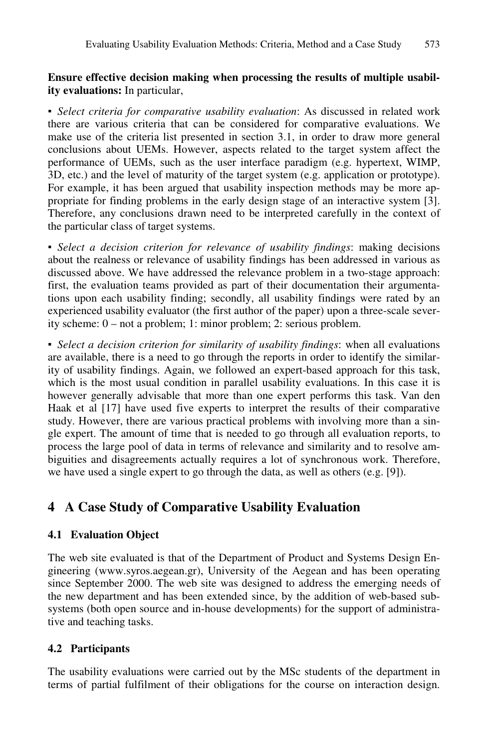#### **Ensure effective decision making when processing the results of multiple usability evaluations:** In particular,

▪ *Select criteria for comparative usability evaluation*: As discussed in related work there are various criteria that can be considered for comparative evaluations. We make use of the criteria list presented in section 3.1, in order to draw more general conclusions about UEMs. However, aspects related to the target system affect the performance of UEMs, such as the user interface paradigm (e.g. hypertext, WIMP, 3D, etc.) and the level of maturity of the target system (e.g. application or prototype). For example, it has been argued that usability inspection methods may be more appropriate for finding problems in the early design stage of an interactive system [3]. Therefore, any conclusions drawn need to be interpreted carefully in the context of the particular class of target systems.

▪ *Select a decision criterion for relevance of usability findings*: making decisions about the realness or relevance of usability findings has been addressed in various as discussed above. We have addressed the relevance problem in a two-stage approach: first, the evaluation teams provided as part of their documentation their argumentations upon each usability finding; secondly, all usability findings were rated by an experienced usability evaluator (the first author of the paper) upon a three-scale severity scheme: 0 – not a problem; 1: minor problem; 2: serious problem.

▪ *Select a decision criterion for similarity of usability findings*: when all evaluations are available, there is a need to go through the reports in order to identify the similarity of usability findings. Again, we followed an expert-based approach for this task, which is the most usual condition in parallel usability evaluations. In this case it is however generally advisable that more than one expert performs this task. Van den Haak et al [17] have used five experts to interpret the results of their comparative study. However, there are various practical problems with involving more than a single expert. The amount of time that is needed to go through all evaluation reports, to process the large pool of data in terms of relevance and similarity and to resolve ambiguities and disagreements actually requires a lot of synchronous work. Therefore, we have used a single expert to go through the data, as well as others (e.g. [9]).

## **4 A Case Study of Comparative Usability Evaluation**

#### **4.1 Evaluation Object**

The web site evaluated is that of the Department of Product and Systems Design Engineering (www.syros.aegean.gr), University of the Aegean and has been operating since September 2000. The web site was designed to address the emerging needs of the new department and has been extended since, by the addition of web-based subsystems (both open source and in-house developments) for the support of administrative and teaching tasks.

#### **4.2 Participants**

The usability evaluations were carried out by the MSc students of the department in terms of partial fulfilment of their obligations for the course on interaction design.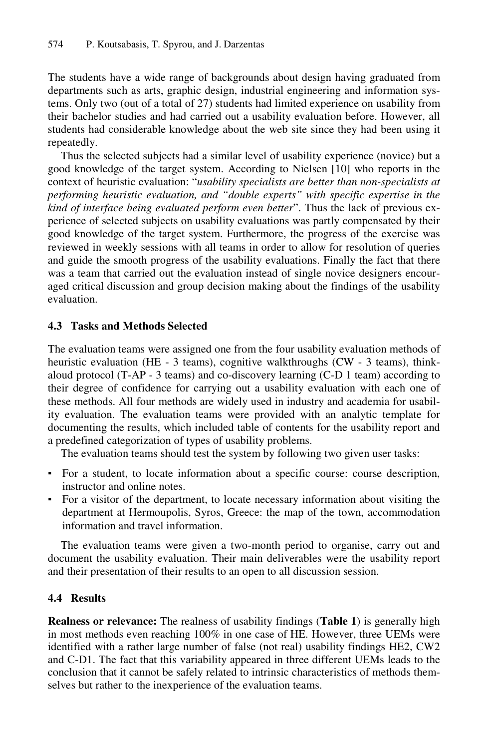The students have a wide range of backgrounds about design having graduated from departments such as arts, graphic design, industrial engineering and information systems. Only two (out of a total of 27) students had limited experience on usability from their bachelor studies and had carried out a usability evaluation before. However, all students had considerable knowledge about the web site since they had been using it repeatedly.

Thus the selected subjects had a similar level of usability experience (novice) but a good knowledge of the target system. According to Nielsen [10] who reports in the context of heuristic evaluation: "*usability specialists are better than non-specialists at performing heuristic evaluation, and "double experts" with specific expertise in the kind of interface being evaluated perform even better*". Thus the lack of previous experience of selected subjects on usability evaluations was partly compensated by their good knowledge of the target system. Furthermore, the progress of the exercise was reviewed in weekly sessions with all teams in order to allow for resolution of queries and guide the smooth progress of the usability evaluations. Finally the fact that there was a team that carried out the evaluation instead of single novice designers encouraged critical discussion and group decision making about the findings of the usability evaluation.

#### **4.3 Tasks and Methods Selected**

The evaluation teams were assigned one from the four usability evaluation methods of heuristic evaluation (HE - 3 teams), cognitive walkthroughs (CW - 3 teams), thinkaloud protocol (T-AP - 3 teams) and co-discovery learning (C-D 1 team) according to their degree of confidence for carrying out a usability evaluation with each one of these methods. All four methods are widely used in industry and academia for usability evaluation. The evaluation teams were provided with an analytic template for documenting the results, which included table of contents for the usability report and a predefined categorization of types of usability problems.

The evaluation teams should test the system by following two given user tasks:

- For a student, to locate information about a specific course: course description, instructor and online notes.
- For a visitor of the department, to locate necessary information about visiting the department at Hermoupolis, Syros, Greece: the map of the town, accommodation information and travel information.

The evaluation teams were given a two-month period to organise, carry out and document the usability evaluation. Their main deliverables were the usability report and their presentation of their results to an open to all discussion session.

#### **4.4 Results**

**Realness or relevance:** The realness of usability findings (**Table 1**) is generally high in most methods even reaching 100% in one case of HE. However, three UEMs were identified with a rather large number of false (not real) usability findings HE2, CW2 and C-D1. The fact that this variability appeared in three different UEMs leads to the conclusion that it cannot be safely related to intrinsic characteristics of methods themselves but rather to the inexperience of the evaluation teams.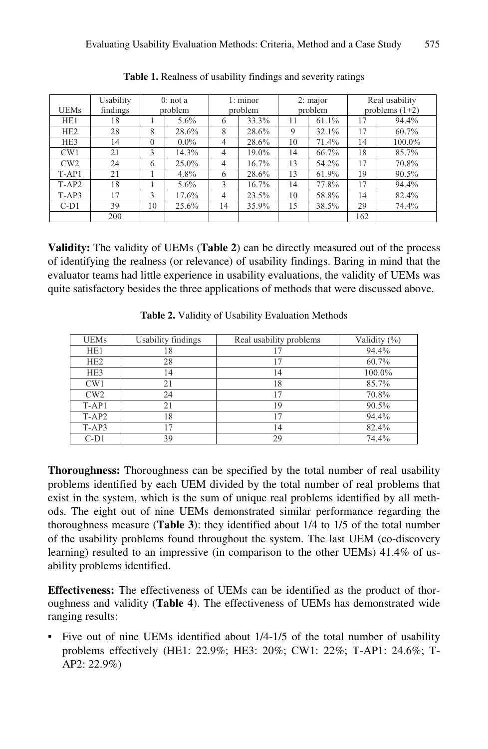|                 | Usability |          | $0:$ not a | $1:$ minor     |       |             | $2:$ major | Real usability   |        |
|-----------------|-----------|----------|------------|----------------|-------|-------------|------------|------------------|--------|
| <b>UEMs</b>     | findings  |          | problem    | problem        |       | problem     |            | problems $(1+2)$ |        |
| HE <sub>1</sub> | 18        |          | $5.6\%$    | 6              | 33.3% | 11          | 61.1%      | 17               | 94.4%  |
| HE <sub>2</sub> | 28        | 8        | 28.6%      | 8              | 28.6% | $\mathbf Q$ | 32.1%      | 17               | 60.7%  |
| HE3             | 14        | $\theta$ | $0.0\%$    | $\overline{4}$ | 28.6% | 10          | 71.4%      | 14               | 100.0% |
| CW1             | 21        | 3        | 14.3%      | $\overline{4}$ | 19.0% | 14          | 66.7%      | 18               | 85.7%  |
| CW2             | 24        | 6        | 25.0%      | $\overline{4}$ | 16.7% | 13          | 54.2%      | 17               | 70.8%  |
| $T-AP1$         | 21        |          | $4.8\%$    | 6              | 28.6% | 13          | 61.9%      | 19               | 90.5%  |
| $T-AP2$         | 18        |          | $5.6\%$    | 3              | 16.7% | 14          | 77.8%      | 17               | 94.4%  |
| $T-AP3$         | 17        | 3        | 17.6%      | $\overline{4}$ | 23.5% | 10          | 58.8%      | 14               | 82.4%  |
| $C-D1$          | 39        | 10       | 25.6%      | 14             | 35.9% | 15          | 38.5%      | 29               | 74.4%  |
|                 | 200       |          |            |                |       |             |            | 162              |        |

**Table 1.** Realness of usability findings and severity ratings

**Validity:** The validity of UEMs (**Table 2**) can be directly measured out of the process of identifying the realness (or relevance) of usability findings. Baring in mind that the evaluator teams had little experience in usability evaluations, the validity of UEMs was quite satisfactory besides the three applications of methods that were discussed above.

| <b>UEMs</b>     | Usability findings | Real usability problems | Validity $(\%)$ |
|-----------------|--------------------|-------------------------|-----------------|
| HE1             | 18                 |                         | 94.4%           |
| HE <sub>2</sub> | 28                 | 17                      | 60.7%           |
| HE3             | 14                 | 14                      | 100.0%          |
| CW1             | 21                 | 18                      | 85.7%           |
| CW2             | 24                 | 17                      | 70.8%           |
| $T-AP1$         | 21                 | 19                      | 90.5%           |
| $T-AP2$         | 18                 |                         | 94.4%           |
| $T-AP3$         | 17                 | 14                      | 82.4%           |
| $C-D1$          | 39                 | 29                      | 74.4%           |

**Table 2.** Validity of Usability Evaluation Methods

**Thoroughness:** Thoroughness can be specified by the total number of real usability problems identified by each UEM divided by the total number of real problems that exist in the system, which is the sum of unique real problems identified by all methods. The eight out of nine UEMs demonstrated similar performance regarding the thoroughness measure (**Table 3**): they identified about 1/4 to 1/5 of the total number of the usability problems found throughout the system. The last UEM (co-discovery learning) resulted to an impressive (in comparison to the other UEMs) 41.4% of usability problems identified.

**Effectiveness:** The effectiveness of UEMs can be identified as the product of thoroughness and validity (**Table 4**). The effectiveness of UEMs has demonstrated wide ranging results:

Five out of nine UEMs identified about  $1/4$ -1/5 of the total number of usability problems effectively (HE1: 22.9%; HE3: 20%; CW1: 22%; T-AP1: 24.6%; T-AP2: 22.9%)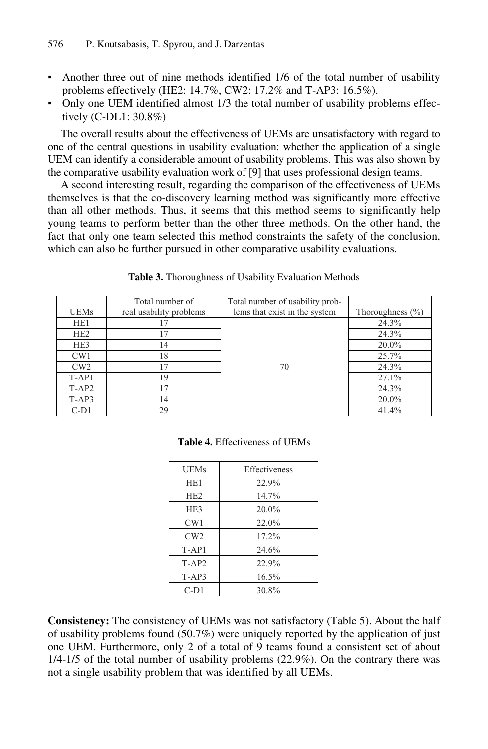- Another three out of nine methods identified 1/6 of the total number of usability problems effectively (HE2: 14.7%, CW2: 17.2% and T-AP3: 16.5%).
- Only one UEM identified almost 1/3 the total number of usability problems effectively (C-DL1: 30.8%)

The overall results about the effectiveness of UEMs are unsatisfactory with regard to one of the central questions in usability evaluation: whether the application of a single UEM can identify a considerable amount of usability problems. This was also shown by the comparative usability evaluation work of [9] that uses professional design teams.

A second interesting result, regarding the comparison of the effectiveness of UEMs themselves is that the co-discovery learning method was significantly more effective than all other methods. Thus, it seems that this method seems to significantly help young teams to perform better than the other three methods. On the other hand, the fact that only one team selected this method constraints the safety of the conclusion, which can also be further pursued in other comparative usability evaluations.

|                 | Total number of         | Total number of usability prob- |                      |
|-----------------|-------------------------|---------------------------------|----------------------|
| <b>UEMs</b>     | real usability problems | lems that exist in the system   | Thoroughness $(\% )$ |
| HE1             |                         |                                 | 24.3%                |
| HE <sub>2</sub> | 17                      |                                 | 24.3%                |
| HE3             | 14                      |                                 | 20.0%                |
| CW1             | 18                      |                                 | 25.7%                |
| CW2             | 17                      | 70                              | 24.3%                |
| $T-AP1$         | 19                      |                                 | 27.1%                |
| $T-AP2$         | 17                      |                                 | 24.3%                |
| T-AP3           | 14                      |                                 | 20.0%                |
| $C-D1$          | 29                      |                                 | 41.4%                |

**Table 3.** Thoroughness of Usability Evaluation Methods

| <b>UEMs</b>     | Effectiveness |
|-----------------|---------------|
| HE1             | 22.9%         |
| HE <sub>2</sub> | 14.7%         |
| HE <sub>3</sub> | 20.0%         |
| CW1             | 22.0%         |
| CW2             | 17.2%         |
| $T-AP1$         | 24.6%         |
| $T-AP2$         | 22.9%         |
| $T-AP3$         | 16.5%         |
| $C-D1$          | 30.8%         |

**Table 4.** Effectiveness of UEMs

**Consistency:** The consistency of UEMs was not satisfactory (Table 5). About the half of usability problems found (50.7%) were uniquely reported by the application of just one UEM. Furthermore, only 2 of a total of 9 teams found a consistent set of about 1/4-1/5 of the total number of usability problems (22.9%). On the contrary there was not a single usability problem that was identified by all UEMs.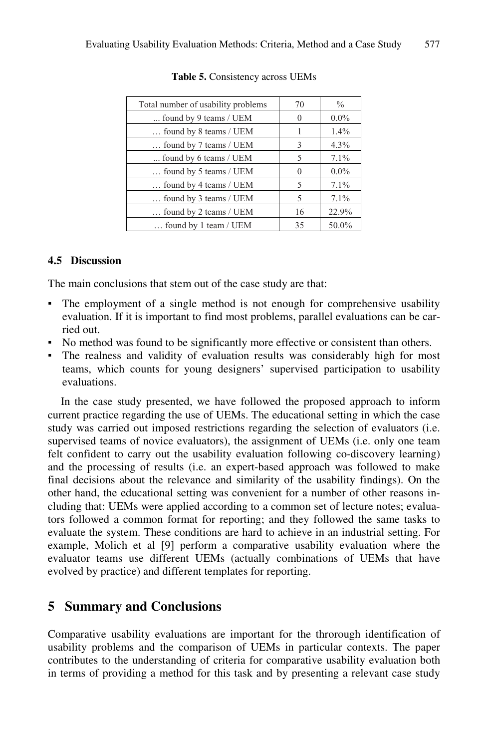| Total number of usability problems | 70       | $\frac{0}{0}$ |
|------------------------------------|----------|---------------|
| found by 9 teams / UEM             | $\left($ | $0.0\%$       |
| found by 8 teams / UEM             |          | 1.4%          |
| found by 7 teams / UEM             | 3        | 4.3%          |
| found by 6 teams / UEM             | 5        | 7.1%          |
| found by 5 teams / UEM             | $\Omega$ | $0.0\%$       |
| found by 4 teams / UEM             | 5        | 7.1%          |
| found by 3 teams / UEM             | 5        | 7.1%          |
| found by 2 teams / UEM             | 16       | 22.9%         |
| $\ldots$ found by 1 team / UEM     | 35       | 50.0%         |

#### **Table 5.** Consistency across UEMs

#### **4.5 Discussion**

The main conclusions that stem out of the case study are that:

- The employment of a single method is not enough for comprehensive usability evaluation. If it is important to find most problems, parallel evaluations can be carried out.
- No method was found to be significantly more effective or consistent than others.
- The realness and validity of evaluation results was considerably high for most teams, which counts for young designers' supervised participation to usability evaluations.

In the case study presented, we have followed the proposed approach to inform current practice regarding the use of UEMs. The educational setting in which the case study was carried out imposed restrictions regarding the selection of evaluators (i.e. supervised teams of novice evaluators), the assignment of UEMs (i.e. only one team felt confident to carry out the usability evaluation following co-discovery learning) and the processing of results (i.e. an expert-based approach was followed to make final decisions about the relevance and similarity of the usability findings). On the other hand, the educational setting was convenient for a number of other reasons including that: UEMs were applied according to a common set of lecture notes; evaluators followed a common format for reporting; and they followed the same tasks to evaluate the system. These conditions are hard to achieve in an industrial setting. For example, Molich et al [9] perform a comparative usability evaluation where the evaluator teams use different UEMs (actually combinations of UEMs that have evolved by practice) and different templates for reporting.

### **5 Summary and Conclusions**

Comparative usability evaluations are important for the throrough identification of usability problems and the comparison of UEMs in particular contexts. The paper contributes to the understanding of criteria for comparative usability evaluation both in terms of providing a method for this task and by presenting a relevant case study